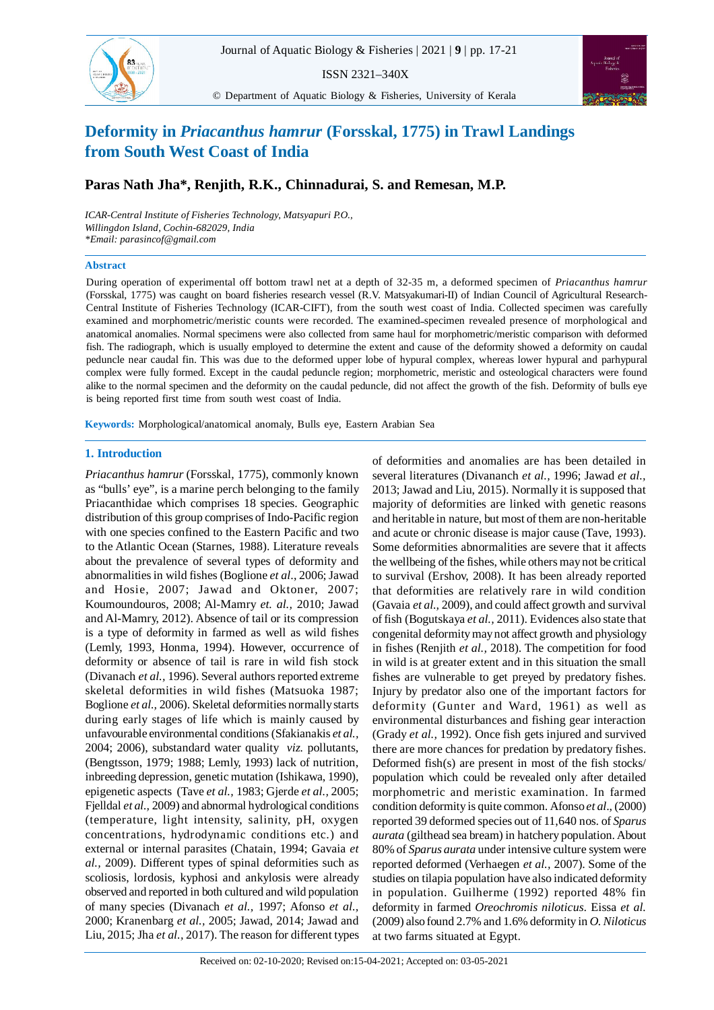ISSN 2321–340X

© Department of Aquatic Biology & Fisheries, University of Kerala



# **Deformity in** *Priacanthus hamrur* **(Forsskal, 1775) in Trawl Landings from South West Coast of India**

## **Paras Nath Jha\*, Renjith, R.K., Chinnadurai, S. and Remesan, M.P.**

*ICAR-Central Institute of Fisheries Technology, Matsyapuri P.O., Willingdon Island, Cochin-682029, India \*Email: parasincof@gmail.com*

#### **Abstract**

83

During operation of experimental off bottom trawl net at a depth of 32-35 m, a deformed specimen of *Priacanthus hamrur* (Forsskal, 1775) was caught on board fisheries research vessel (R.V. Matsyakumari-II) of Indian Council of Agricultural Research-Central Institute of Fisheries Technology (ICAR-CIFT), from the south west coast of India. Collected specimen was carefully examined and morphometric/meristic counts were recorded. The examined specimen revealed presence of morphological and anatomical anomalies. Normal specimens were also collected from same haul for morphometric/meristic comparison with deformed fish. The radiograph, which is usually employed to determine the extent and cause of the deformity showed a deformity on caudal peduncle near caudal fin. This was due to the deformed upper lobe of hypural complex, whereas lower hypural and parhypural complex were fully formed. Except in the caudal peduncle region; morphometric, meristic and osteological characters were found alike to the normal specimen and the deformity on the caudal peduncle, did not affect the growth of the fish. Deformity of bulls eye is being reported first time from south west coast of India.

**Keywords:** Morphological/anatomical anomaly, Bulls eye, Eastern Arabian Sea

### **1. Introduction**

*Priacanthus hamrur* (Forsskal, 1775), commonly known as "bulls' eye", is a marine perch belonging to the family Priacanthidae which comprises 18 species. Geographic distribution of this group comprises of Indo-Pacific region with one species confined to the Eastern Pacific and two to the Atlantic Ocean (Starnes, 1988). Literature reveals about the prevalence of several types of deformity and abnormalities in wild fishes (Boglione *et al*., 2006; Jawad and Hosie, 2007; Jawad and Oktoner, 2007; Koumoundouros, 2008; Al-Mamry *et. al.,* 2010; Jawad and Al-Mamry, 2012). Absence of tail or its compression is a type of deformity in farmed as well as wild fishes (Lemly, 1993, Honma, 1994). However, occurrence of deformity or absence of tail is rare in wild fish stock (Divanach *et al.,* 1996). Several authors reported extreme skeletal deformities in wild fishes (Matsuoka 1987; Boglione *et al.,* 2006). Skeletal deformities normally starts during early stages of life which is mainly caused by unfavourable environmental conditions (Sfakianakis *et al.,* 2004; 2006), substandard water quality *viz.* pollutants, (Bengtsson, 1979; 1988; Lemly, 1993) lack of nutrition, inbreeding depression, genetic mutation (Ishikawa, 1990), epigenetic aspects (Tave *et al.,* 1983; Gjerde *et al.,* 2005; Fjelldal *et al.,* 2009) and abnormal hydrological conditions (temperature, light intensity, salinity, pH, oxygen concentrations, hydrodynamic conditions etc.) and external or internal parasites (Chatain, 1994; Gavaia *et al.,* 2009). Different types of spinal deformities such as scoliosis, lordosis, kyphosi and ankylosis were already observed and reported in both cultured and wild population of many species (Divanach *et al.,* 1997; Afonso *et al.,* 2000; Kranenbarg *et al.,* 2005; Jawad, 2014; Jawad and Liu, 2015; Jha *et al.,* 2017). The reason for different types

of deformities and anomalies are has been detailed in several literatures (Divananch *et al.,* 1996; Jawad *et al.,* 2013; Jawad and Liu, 2015). Normally it is supposed that majority of deformities are linked with genetic reasons and heritable in nature, but most of them are non-heritable and acute or chronic disease is major cause (Tave, 1993). Some deformities abnormalities are severe that it affects the wellbeing of the fishes, while others may not be critical to survival (Ershov, 2008). It has been already reported that deformities are relatively rare in wild condition (Gavaia *et al.,* 2009), and could affect growth and survival of fish (Bogutskaya *et al.,* 2011). Evidences also state that congenital deformity may not affect growth and physiology in fishes (Renjith *et al.,* 2018). The competition for food in wild is at greater extent and in this situation the small fishes are vulnerable to get preyed by predatory fishes. Injury by predator also one of the important factors for deformity (Gunter and Ward, 1961) as well as environmental disturbances and fishing gear interaction (Grady *et al.,* 1992). Once fish gets injured and survived there are more chances for predation by predatory fishes. Deformed fish(s) are present in most of the fish stocks/ population which could be revealed only after detailed morphometric and meristic examination. In farmed condition deformity is quite common. Afonso *et al*., (2000) reported 39 deformed species out of 11,640 nos. of *Sparus aurata* (gilthead sea bream) in hatchery population. About 80% of *Sparus aurata* under intensive culture system were reported deformed (Verhaegen *et al.,* 2007). Some of the studies on tilapia population have also indicated deformity in population. Guilherme (1992) reported 48% fin deformity in farmed *Oreochromis niloticus*. Eissa *et al.* (2009) also found 2.7% and 1.6% deformity in *O. Niloticus* at two farms situated at Egypt.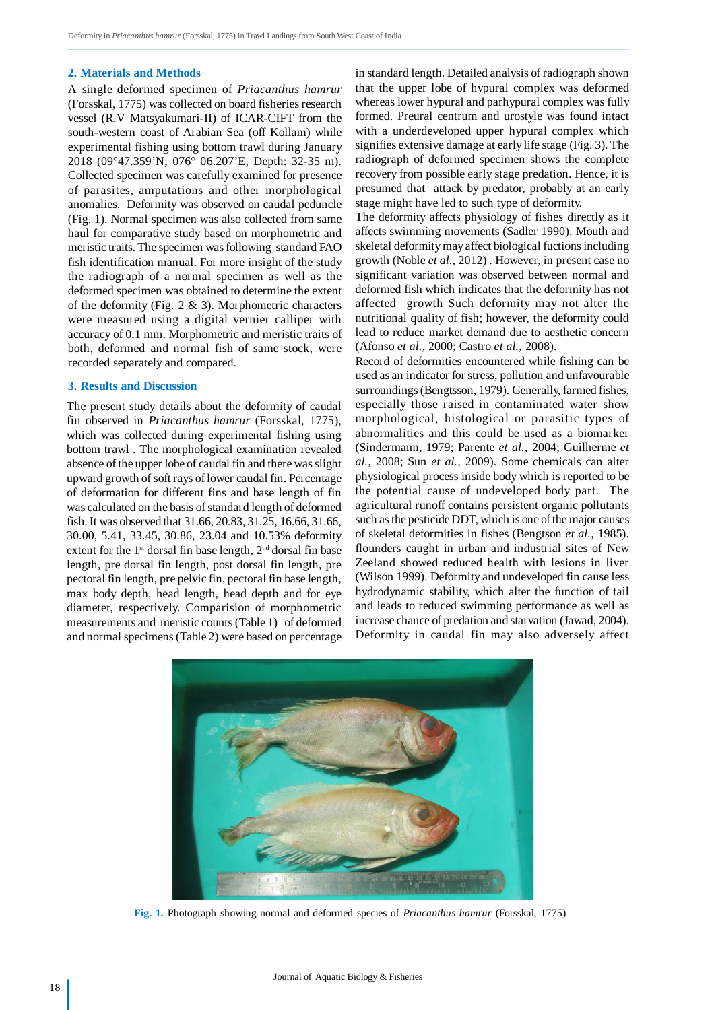#### **2. Materials and Methods**

A single deformed specimen of *Priacanthus hamrur* (Forsskal, 1775) was collected on board fisheries research vessel (R.V Matsyakumari-II) of ICAR-CIFT from the south-western coast of Arabian Sea (off Kollam) while experimental fishing using bottom trawl during January 2018 (09°47.359'N; 076° 06.207'E, Depth: 32-35 m). Collected specimen was carefully examined for presence of parasites, amputations and other morphological anomalies. Deformity was observed on caudal peduncle (Fig. 1). Normal specimen was also collected from same haul for comparative study based on morphometric and meristic traits. The specimen was following standard FAO fish identification manual. For more insight of the study the radiograph of a normal specimen as well as the deformed specimen was obtained to determine the extent of the deformity (Fig.  $2 \& 3$ ). Morphometric characters were measured using a digital vernier calliper with accuracy of 0.1 mm. Morphometric and meristic traits of both, deformed and normal fish of same stock, were recorded separately and compared.

#### **3. Results and Discussion**

The present study details about the deformity of caudal fin observed in *Priacanthus hamrur* (Forsskal, 1775), which was collected during experimental fishing using bottom trawl . The morphological examination revealed absence of the upper lobe of caudal fin and there was slight upward growth of soft rays of lower caudal fin. Percentage of deformation for different fins and base length of fin was calculated on the basis of standard length of deformed fish. It was observed that 31.66, 20.83, 31.25, 16.66, 31.66, 30.00, 5.41, 33.45, 30.86, 23.04 and 10.53% deformity extent for the  $1<sup>st</sup>$  dorsal fin base length,  $2<sup>nd</sup>$  dorsal fin base length, pre dorsal fin length, post dorsal fin length, pre pectoral fin length, pre pelvic fin, pectoral fin base length, max body depth, head length, head depth and for eye diameter, respectively. Comparision of morphometric measurements and meristic counts (Table 1) of deformed and normal specimens (Table 2) were based on percentage in standard length. Detailed analysis of radiograph shown that the upper lobe of hypural complex was deformed whereas lower hypural and parhypural complex was fully formed. Preural centrum and urostyle was found intact with a underdeveloped upper hypural complex which signifies extensive damage at early life stage (Fig. 3). The radiograph of deformed specimen shows the complete recovery from possible early stage predation. Hence, it is presumed that attack by predator, probably at an early stage might have led to such type of deformity.

The deformity affects physiology of fishes directly as it affects swimming movements (Sadler 1990). Mouth and skeletal deformity may affect biological fuctions including growth (Noble *et al*., 2012) . However, in present case no significant variation was observed between normal and deformed fish which indicates that the deformity has not affected growth Such deformity may not alter the nutritional quality of fish; however, the deformity could lead to reduce market demand due to aesthetic concern (Afonso *et al.,* 2000; Castro *et al.,* 2008).

Record of deformities encountered while fishing can be used as an indicator for stress, pollution and unfavourable surroundings (Bengtsson, 1979). Generally, farmed fishes, especially those raised in contaminated water show morphological, histological or parasitic types of abnormalities and this could be used as a biomarker (Sindermann, 1979; Parente *et al.,* 2004; Guilherme *et al.,* 2008; Sun *et al.,* 2009). Some chemicals can alter physiological process inside body which is reported to be the potential cause of undeveloped body part. The agricultural runoff contains persistent organic pollutants such as the pesticide DDT, which is one of the major causes of skeletal deformities in fishes (Bengtson *et al.,* 1985). flounders caught in urban and industrial sites of New Zeeland showed reduced health with lesions in liver (Wilson 1999). Deformity and undeveloped fin cause less hydrodynamic stability, which alter the function of tail and leads to reduced swimming performance as well as increase chance of predation and starvation (Jawad, 2004). Deformity in caudal fin may also adversely affect



**Fig. 1.** Photograph showing normal and deformed species of *Priacanthus hamrur* (Forsskal, 1775)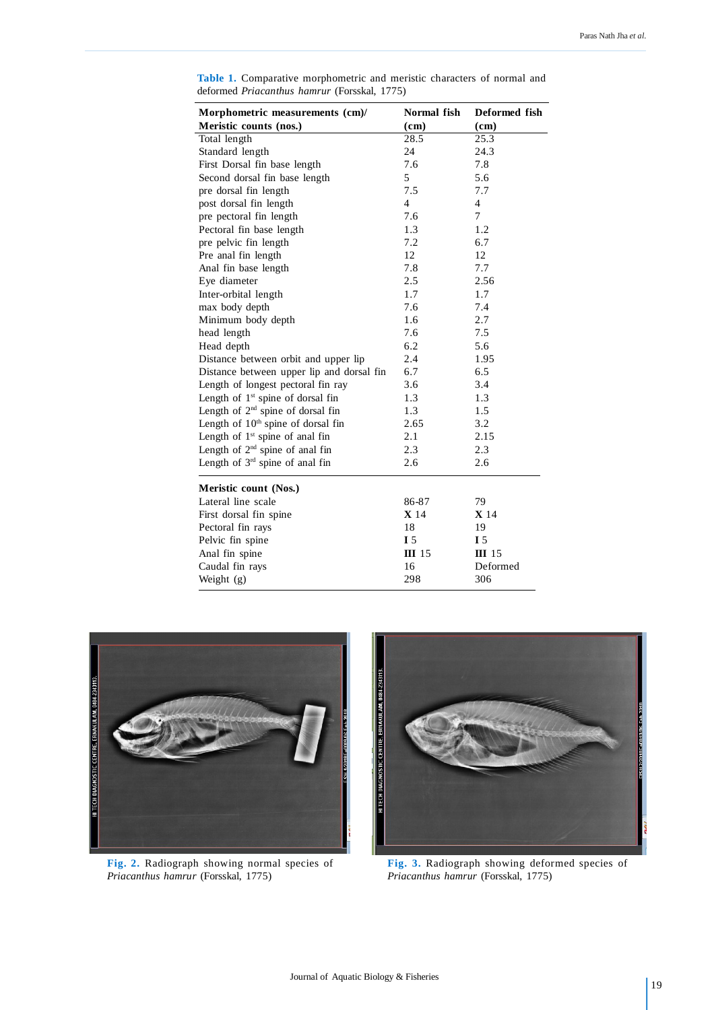| Morphometric measurements (cm)/<br>Meristic counts (nos.) | Normal fish<br>(cm) | Deformed fish<br>(cm) |
|-----------------------------------------------------------|---------------------|-----------------------|
| Total length                                              | 28.5                | 25.3                  |
| Standard length                                           | 24                  | 24.3                  |
| First Dorsal fin base length                              | 7.6                 | 7.8                   |
| Second dorsal fin base length                             | 5                   | 5.6                   |
| pre dorsal fin length                                     | 7.5                 | 7.7                   |
| post dorsal fin length                                    | 4                   | 4                     |
| pre pectoral fin length                                   | 7.6                 | 7                     |
| Pectoral fin base length                                  | 1.3                 | 1.2                   |
| pre pelvic fin length                                     | 7.2                 | 6.7                   |
| Pre anal fin length                                       | 12                  | 12                    |
| Anal fin base length                                      | 7.8                 | 7.7                   |
| Eye diameter                                              | 2.5                 | 2.56                  |
| Inter-orbital length                                      | 1.7                 | 1.7                   |
| max body depth                                            | 7.6                 | 7.4                   |
| Minimum body depth                                        | 1.6                 | 2.7                   |
| head length                                               | 7.6                 | 7.5                   |
| Head depth                                                | 6.2                 | 5.6                   |
| Distance between orbit and upper lip                      | 2.4                 | 1.95                  |
| Distance between upper lip and dorsal fin                 | 6.7                 | 6.5                   |
| Length of longest pectoral fin ray                        | 3.6                 | 3.4                   |
| Length of 1 <sup>st</sup> spine of dorsal fin             | 1.3                 | 1.3                   |
| Length of $2nd$ spine of dorsal fin                       | 1.3                 | 1.5                   |
| Length of $10th$ spine of dorsal fin                      | 2.65                | 3.2                   |
| Length of $1st$ spine of anal fin                         | 2.1                 | 2.15                  |
| Length of $2nd$ spine of anal fin                         | 2.3                 | 2.3                   |
| Length of 3 <sup>rd</sup> spine of anal fin               | 2.6                 | 2.6                   |
| Meristic count (Nos.)                                     |                     |                       |
| Lateral line scale                                        | 86-87               | 79                    |
| First dorsal fin spine                                    | <b>X</b> 14         | <b>X</b> 14           |
| Pectoral fin rays                                         | 18                  | 19                    |
| Pelvic fin spine                                          | I <sub>5</sub>      | I <sub>5</sub>        |
| Anal fin spine                                            | <b>III</b> 15       | $\Pi$ 15              |
| Caudal fin rays                                           | 16                  | Deformed              |
| Weight $(g)$                                              | 298                 | 306                   |

**Table 1.** Comparative morphometric and meristic characters of normal and deformed *Priacanthus hamrur* (Forsskal, 1775)



**Fig. 2.** Radiograph showing normal species of *Priacanthus hamrur* (Forsskal, 1775)



**Fig. 3.** Radiograph showing deformed species of *Priacanthus hamrur* (Forsskal, 1775)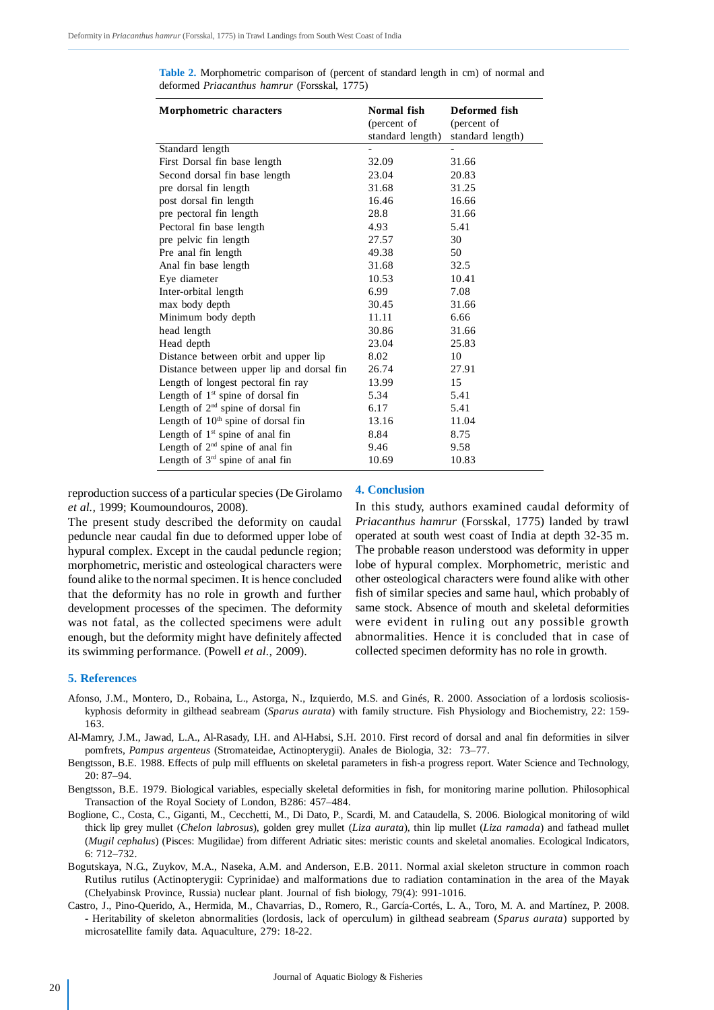| <b>Morphometric characters</b>                 | Normal fish<br>(percent of<br>standard length) | Deformed fish<br>(percent of<br>standard length) |
|------------------------------------------------|------------------------------------------------|--------------------------------------------------|
| Standard length                                |                                                |                                                  |
| First Dorsal fin base length                   | 32.09                                          | 31.66                                            |
| Second dorsal fin base length                  | 23.04                                          | 20.83                                            |
| pre dorsal fin length                          | 31.68                                          | 31.25                                            |
| post dorsal fin length                         | 16.46                                          | 16.66                                            |
| pre pectoral fin length                        | 28.8                                           | 31.66                                            |
| Pectoral fin base length                       | 4.93                                           | 5.41                                             |
| pre pelvic fin length                          | 27.57                                          | 30                                               |
| Pre anal fin length                            | 49.38                                          | 50                                               |
| Anal fin base length                           | 31.68                                          | 32.5                                             |
| Eye diameter                                   | 10.53                                          | 10.41                                            |
| Inter-orbital length                           | 6.99                                           | 7.08                                             |
| max body depth                                 | 30.45                                          | 31.66                                            |
| Minimum body depth                             | 11.11                                          | 6.66                                             |
| head length                                    | 30.86                                          | 31.66                                            |
| Head depth                                     | 23.04                                          | 25.83                                            |
| Distance between orbit and upper lip           | 8.02                                           | 10                                               |
| Distance between upper lip and dorsal fin      | 26.74                                          | 27.91                                            |
| Length of longest pectoral fin ray             | 13.99                                          | 15                                               |
| Length of $1st$ spine of dorsal fin            | 5.34                                           | 5.41                                             |
| Length of $2nd$ spine of dorsal fin            | 6.17                                           | 5.41                                             |
| Length of 10 <sup>th</sup> spine of dorsal fin | 13.16                                          | 11.04                                            |
| Length of $1st$ spine of anal fin              | 8.84                                           | 8.75                                             |
| Length of 2 <sup>nd</sup> spine of anal fin    | 9.46                                           | 9.58                                             |
| Length of 3rd spine of anal fin                | 10.69                                          | 10.83                                            |

**Table 2.** Morphometric comparison of (percent of standard length in cm) of normal and deformed *Priacanthus hamrur* (Forsskal, 1775)

reproduction success of a particular species (De Girolamo *et al.,* 1999; Koumoundouros, 2008).

The present study described the deformity on caudal peduncle near caudal fin due to deformed upper lobe of hypural complex. Except in the caudal peduncle region; morphometric, meristic and osteological characters were found alike to the normal specimen. It is hence concluded that the deformity has no role in growth and further development processes of the specimen. The deformity was not fatal, as the collected specimens were adult enough, but the deformity might have definitely affected its swimming performance. (Powell *et al.,* 2009).

#### **4. Conclusion**

In this study, authors examined caudal deformity of *Priacanthus hamrur* (Forsskal, 1775) landed by trawl operated at south west coast of India at depth 32-35 m. The probable reason understood was deformity in upper lobe of hypural complex. Morphometric, meristic and other osteological characters were found alike with other fish of similar species and same haul, which probably of same stock. Absence of mouth and skeletal deformities were evident in ruling out any possible growth abnormalities. Hence it is concluded that in case of collected specimen deformity has no role in growth.

#### **5. References**

- Afonso, J.M., Montero, D., Robaina, L., Astorga, N., Izquierdo, M.S. and Ginés, R. 2000. Association of a lordosis scoliosiskyphosis deformity in gilthead seabream (*Sparus aurata*) with family structure. Fish Physiology and Biochemistry, 22: 159- 163.
- Al-Mamry, J.M., Jawad, L.A., Al-Rasady, I.H. and Al-Habsi, S.H. 2010. First record of dorsal and anal fin deformities in silver pomfrets, *Pampus argenteus* (Stromateidae, Actinopterygii). Anales de Biologia, 32: 73–77.
- Bengtsson, B.E. 1988. Effects of pulp mill effluents on skeletal parameters in fish-a progress report. Water Science and Technology, 20: 87–94.
- Bengtsson, B.E. 1979. Biological variables, especially skeletal deformities in fish, for monitoring marine pollution. Philosophical Transaction of the Royal Society of London, B286: 457–484.
- Boglione, C., Costa, C., Giganti, M., Cecchetti, M., Di Dato, P., Scardi, M. and Cataudella, S. 2006. Biological monitoring of wild thick lip grey mullet (*Chelon labrosus*), golden grey mullet (*Liza aurata*), thin lip mullet (*Liza ramada*) and fathead mullet (*Mugil cephalus*) (Pisces: Mugilidae) from different Adriatic sites: meristic counts and skeletal anomalies. Ecological Indicators, 6: 712–732.
- Bogutskaya, N.G., Zuykov, M.A., Naseka, A.M. and Anderson, E.B. 2011. Normal axial skeleton structure in common roach Rutilus rutilus (Actinopterygii: Cyprinidae) and malformations due to radiation contamination in the area of the Mayak (Chelyabinsk Province, Russia) nuclear plant. Journal of fish biology, 79(4): 991-1016.
- Castro, J., Pino-Querido, A., Hermida, M., Chavarrias, D., Romero, R., García-Cortés, L. A., Toro, M. A. and Martínez, P. 2008. - Heritability of skeleton abnormalities (lordosis, lack of operculum) in gilthead seabream (*Sparus aurata*) supported by microsatellite family data. Aquaculture, 279: 18-22.